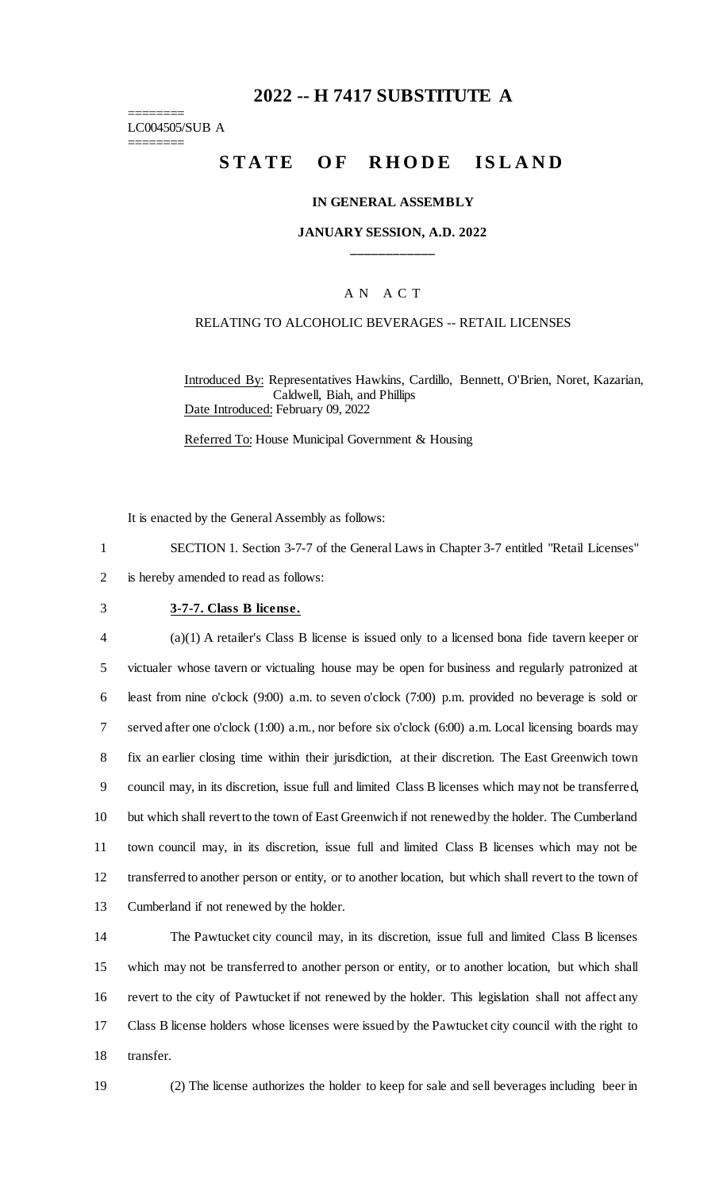# **2022 -- H 7417 SUBSTITUTE A**

======== LC004505/SUB A ========

# STATE OF RHODE ISLAND

#### **IN GENERAL ASSEMBLY**

## **JANUARY SESSION, A.D. 2022 \_\_\_\_\_\_\_\_\_\_\_\_**

## A N A C T

#### RELATING TO ALCOHOLIC BEVERAGES -- RETAIL LICENSES

Introduced By: Representatives Hawkins, Cardillo, Bennett, O'Brien, Noret, Kazarian, Caldwell, Biah, and Phillips Date Introduced: February 09, 2022

Referred To: House Municipal Government & Housing

It is enacted by the General Assembly as follows:

1 SECTION 1. Section 3-7-7 of the General Laws in Chapter 3-7 entitled "Retail Licenses" 2 is hereby amended to read as follows:

#### 3 **3-7-7. Class B license.**

 (a)(1) A retailer's Class B license is issued only to a licensed bona fide tavern keeper or victualer whose tavern or victualing house may be open for business and regularly patronized at least from nine o'clock (9:00) a.m. to seven o'clock (7:00) p.m. provided no beverage is sold or served after one o'clock (1:00) a.m., nor before six o'clock (6:00) a.m. Local licensing boards may fix an earlier closing time within their jurisdiction, at their discretion. The East Greenwich town council may, in its discretion, issue full and limited Class B licenses which may not be transferred, but which shall revert to the town of East Greenwich if not renewed by the holder. The Cumberland town council may, in its discretion, issue full and limited Class B licenses which may not be transferred to another person or entity, or to another location, but which shall revert to the town of Cumberland if not renewed by the holder.

 The Pawtucket city council may, in its discretion, issue full and limited Class B licenses which may not be transferred to another person or entity, or to another location, but which shall revert to the city of Pawtucket if not renewed by the holder. This legislation shall not affect any Class B license holders whose licenses were issued by the Pawtucket city council with the right to transfer.

19 (2) The license authorizes the holder to keep for sale and sell beverages including beer in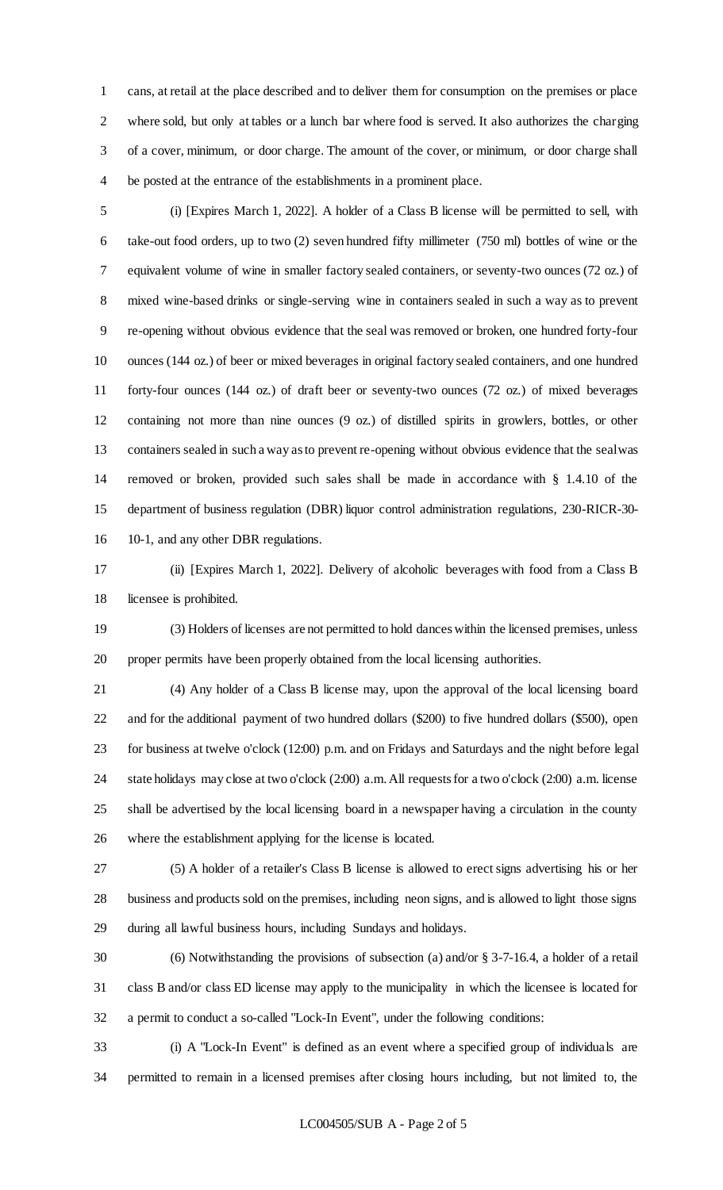cans, at retail at the place described and to deliver them for consumption on the premises or place where sold, but only at tables or a lunch bar where food is served. It also authorizes the charging of a cover, minimum, or door charge. The amount of the cover, or minimum, or door charge shall be posted at the entrance of the establishments in a prominent place.

 (i) [Expires March 1, 2022]. A holder of a Class B license will be permitted to sell, with take-out food orders, up to two (2) seven hundred fifty millimeter (750 ml) bottles of wine or the equivalent volume of wine in smaller factory sealed containers, or seventy-two ounces (72 oz.) of mixed wine-based drinks or single-serving wine in containers sealed in such a way as to prevent re-opening without obvious evidence that the seal was removed or broken, one hundred forty-four ounces (144 oz.) of beer or mixed beverages in original factory sealed containers, and one hundred forty-four ounces (144 oz.) of draft beer or seventy-two ounces (72 oz.) of mixed beverages containing not more than nine ounces (9 oz.) of distilled spirits in growlers, bottles, or other containers sealed in such a way as to prevent re-opening without obvious evidence that the seal was removed or broken, provided such sales shall be made in accordance with § 1.4.10 of the department of business regulation (DBR) liquor control administration regulations, 230-RICR-30- 10-1, and any other DBR regulations.

 (ii) [Expires March 1, 2022]. Delivery of alcoholic beverages with food from a Class B licensee is prohibited.

 (3) Holders of licenses are not permitted to hold dances within the licensed premises, unless proper permits have been properly obtained from the local licensing authorities.

 (4) Any holder of a Class B license may, upon the approval of the local licensing board and for the additional payment of two hundred dollars (\$200) to five hundred dollars (\$500), open for business at twelve o'clock (12:00) p.m. and on Fridays and Saturdays and the night before legal state holidays may close at two o'clock (2:00) a.m. All requests for a two o'clock (2:00) a.m. license shall be advertised by the local licensing board in a newspaper having a circulation in the county where the establishment applying for the license is located.

 (5) A holder of a retailer's Class B license is allowed to erect signs advertising his or her business and products sold on the premises, including neon signs, and is allowed to light those signs during all lawful business hours, including Sundays and holidays.

 (6) Notwithstanding the provisions of subsection (a) and/or § 3-7-16.4, a holder of a retail class B and/or class ED license may apply to the municipality in which the licensee is located for a permit to conduct a so-called "Lock-In Event", under the following conditions:

 (i) A "Lock-In Event" is defined as an event where a specified group of individuals are permitted to remain in a licensed premises after closing hours including, but not limited to, the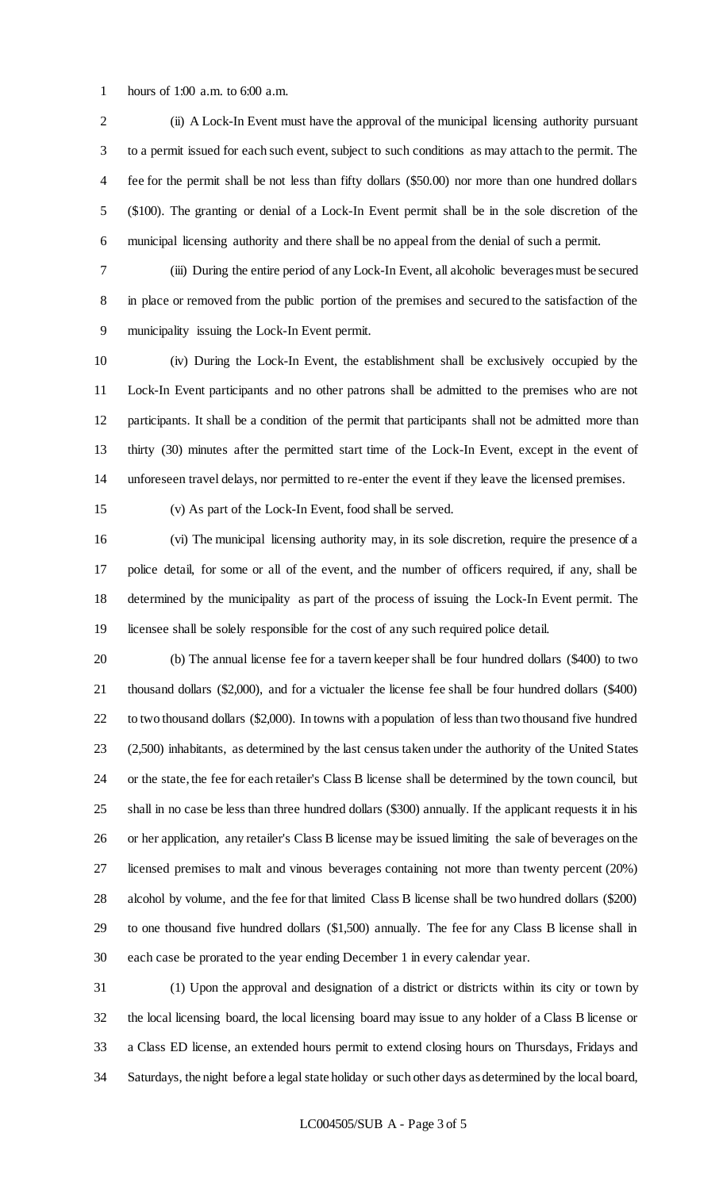hours of 1:00 a.m. to 6:00 a.m.

 (ii) A Lock-In Event must have the approval of the municipal licensing authority pursuant to a permit issued for each such event, subject to such conditions as may attach to the permit. The fee for the permit shall be not less than fifty dollars (\$50.00) nor more than one hundred dollars (\$100). The granting or denial of a Lock-In Event permit shall be in the sole discretion of the municipal licensing authority and there shall be no appeal from the denial of such a permit.

 (iii) During the entire period of any Lock-In Event, all alcoholic beverages must be secured in place or removed from the public portion of the premises and secured to the satisfaction of the municipality issuing the Lock-In Event permit.

 (iv) During the Lock-In Event, the establishment shall be exclusively occupied by the Lock-In Event participants and no other patrons shall be admitted to the premises who are not participants. It shall be a condition of the permit that participants shall not be admitted more than thirty (30) minutes after the permitted start time of the Lock-In Event, except in the event of unforeseen travel delays, nor permitted to re-enter the event if they leave the licensed premises.

(v) As part of the Lock-In Event, food shall be served.

 (vi) The municipal licensing authority may, in its sole discretion, require the presence of a police detail, for some or all of the event, and the number of officers required, if any, shall be determined by the municipality as part of the process of issuing the Lock-In Event permit. The licensee shall be solely responsible for the cost of any such required police detail.

 (b) The annual license fee for a tavern keeper shall be four hundred dollars (\$400) to two thousand dollars (\$2,000), and for a victualer the license fee shall be four hundred dollars (\$400) to two thousand dollars (\$2,000). In towns with a population of less than two thousand five hundred (2,500) inhabitants, as determined by the last census taken under the authority of the United States or the state, the fee for each retailer's Class B license shall be determined by the town council, but shall in no case be less than three hundred dollars (\$300) annually. If the applicant requests it in his or her application, any retailer's Class B license may be issued limiting the sale of beverages on the licensed premises to malt and vinous beverages containing not more than twenty percent (20%) alcohol by volume, and the fee for that limited Class B license shall be two hundred dollars (\$200) to one thousand five hundred dollars (\$1,500) annually. The fee for any Class B license shall in each case be prorated to the year ending December 1 in every calendar year.

 (1) Upon the approval and designation of a district or districts within its city or town by the local licensing board, the local licensing board may issue to any holder of a Class B license or a Class ED license, an extended hours permit to extend closing hours on Thursdays, Fridays and Saturdays, the night before a legal state holiday or such other days as determined by the local board,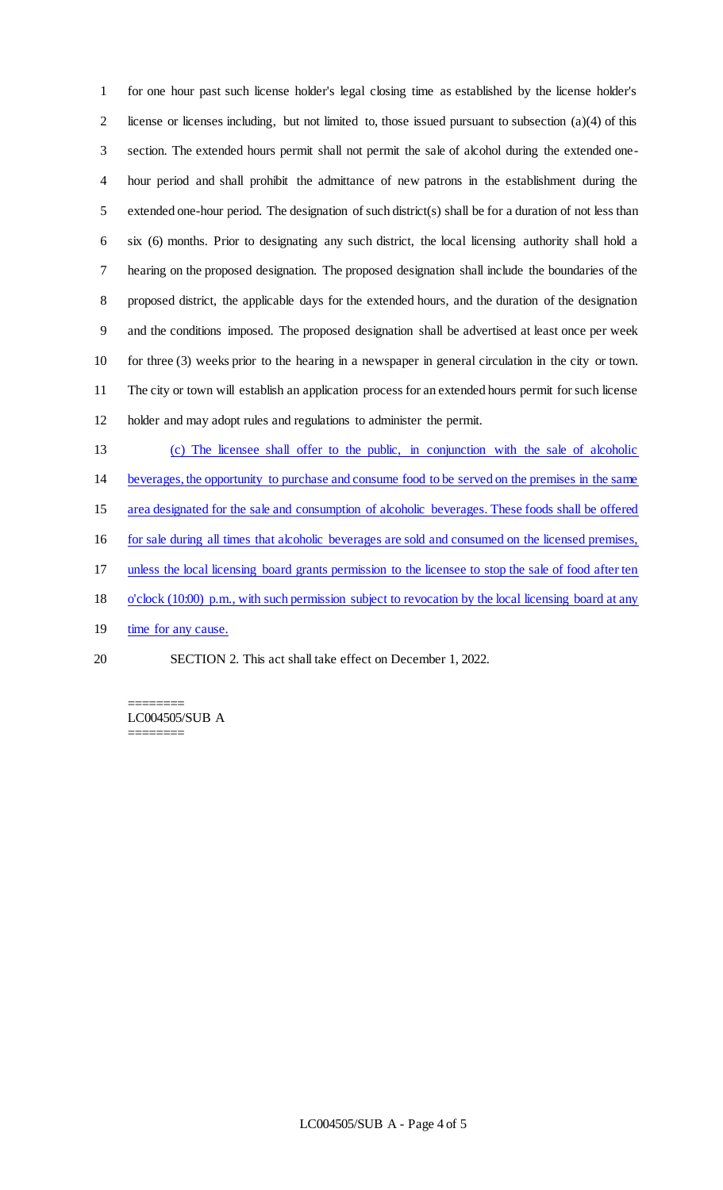for one hour past such license holder's legal closing time as established by the license holder's 2 license or licenses including, but not limited to, those issued pursuant to subsection  $(a)(4)$  of this section. The extended hours permit shall not permit the sale of alcohol during the extended one- hour period and shall prohibit the admittance of new patrons in the establishment during the extended one-hour period. The designation of such district(s) shall be for a duration of not less than six (6) months. Prior to designating any such district, the local licensing authority shall hold a hearing on the proposed designation. The proposed designation shall include the boundaries of the proposed district, the applicable days for the extended hours, and the duration of the designation and the conditions imposed. The proposed designation shall be advertised at least once per week for three (3) weeks prior to the hearing in a newspaper in general circulation in the city or town. The city or town will establish an application process for an extended hours permit for such license holder and may adopt rules and regulations to administer the permit.

- (c) The licensee shall offer to the public, in conjunction with the sale of alcoholic beverages, the opportunity to purchase and consume food to be served on the premises in the same area designated for the sale and consumption of alcoholic beverages. These foods shall be offered for sale during all times that alcoholic beverages are sold and consumed on the licensed premises, unless the local licensing board grants permission to the licensee to stop the sale of food after ten o'clock (10:00) p.m., with such permission subject to revocation by the local licensing board at any 19 time for any cause.
- SECTION 2. This act shall take effect on December 1, 2022.

======== LC004505/SUB A ========